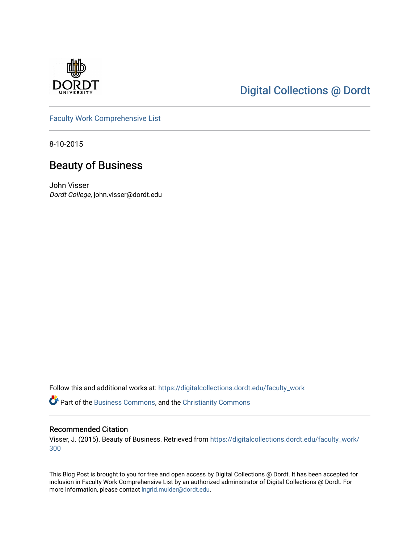

## [Digital Collections @ Dordt](https://digitalcollections.dordt.edu/)

[Faculty Work Comprehensive List](https://digitalcollections.dordt.edu/faculty_work)

8-10-2015

## Beauty of Business

John Visser Dordt College, john.visser@dordt.edu

Follow this and additional works at: [https://digitalcollections.dordt.edu/faculty\\_work](https://digitalcollections.dordt.edu/faculty_work?utm_source=digitalcollections.dordt.edu%2Ffaculty_work%2F300&utm_medium=PDF&utm_campaign=PDFCoverPages) 

Part of the [Business Commons](http://network.bepress.com/hgg/discipline/622?utm_source=digitalcollections.dordt.edu%2Ffaculty_work%2F300&utm_medium=PDF&utm_campaign=PDFCoverPages), and the [Christianity Commons](http://network.bepress.com/hgg/discipline/1181?utm_source=digitalcollections.dordt.edu%2Ffaculty_work%2F300&utm_medium=PDF&utm_campaign=PDFCoverPages) 

#### Recommended Citation

Visser, J. (2015). Beauty of Business. Retrieved from [https://digitalcollections.dordt.edu/faculty\\_work/](https://digitalcollections.dordt.edu/faculty_work/300?utm_source=digitalcollections.dordt.edu%2Ffaculty_work%2F300&utm_medium=PDF&utm_campaign=PDFCoverPages) [300](https://digitalcollections.dordt.edu/faculty_work/300?utm_source=digitalcollections.dordt.edu%2Ffaculty_work%2F300&utm_medium=PDF&utm_campaign=PDFCoverPages) 

This Blog Post is brought to you for free and open access by Digital Collections @ Dordt. It has been accepted for inclusion in Faculty Work Comprehensive List by an authorized administrator of Digital Collections @ Dordt. For more information, please contact [ingrid.mulder@dordt.edu.](mailto:ingrid.mulder@dordt.edu)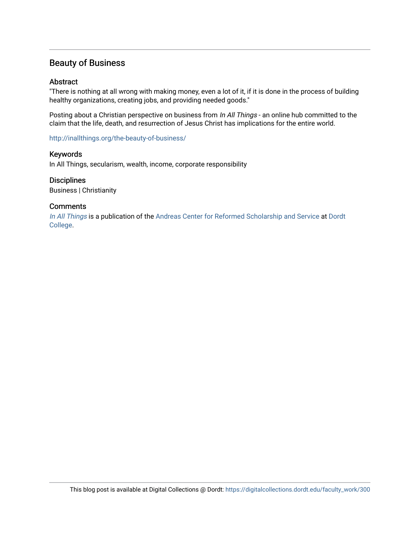### Beauty of Business

#### Abstract

"There is nothing at all wrong with making money, even a lot of it, if it is done in the process of building healthy organizations, creating jobs, and providing needed goods."

Posting about a Christian perspective on business from In All Things - an online hub committed to the claim that the life, death, and resurrection of Jesus Christ has implications for the entire world.

<http://inallthings.org/the-beauty-of-business/>

#### Keywords

In All Things, secularism, wealth, income, corporate responsibility

#### **Disciplines**

Business | Christianity

#### **Comments**

[In All Things](http://inallthings.org/) is a publication of the [Andreas Center for Reformed Scholarship and Service](http://www.dordt.edu/services_support/andreas_center/) at Dordt [College](http://www.dordt.edu/).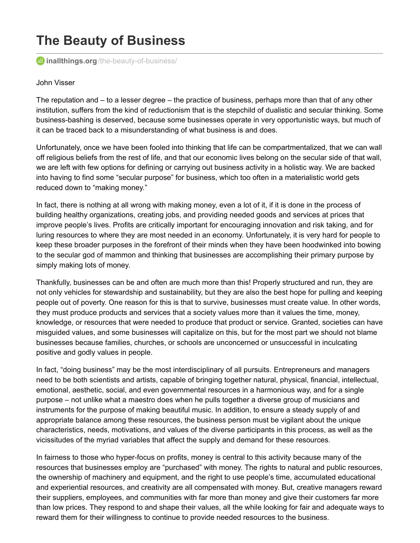# **The Beauty of Business**

**all inallthings.org**[/the-beauty-of-business/](http://inallthings.org/the-beauty-of-business/)

#### John Visser

The reputation and – to a lesser degree – the practice of business, perhaps more than that of any other institution, suffers from the kind of reductionism that is the stepchild of dualistic and secular thinking. Some business-bashing is deserved, because some businesses operate in very opportunistic ways, but much of it can be traced back to a misunderstanding of what business is and does.

Unfortunately, once we have been fooled into thinking that life can be compartmentalized, that we can wall off religious beliefs from the rest of life, and that our economic lives belong on the secular side of that wall, we are left with few options for defining or carrying out business activity in a holistic way. We are backed into having to find some "secular purpose" for business, which too often in a materialistic world gets reduced down to "making money."

In fact, there is nothing at all wrong with making money, even a lot of it, if it is done in the process of building healthy organizations, creating jobs, and providing needed goods and services at prices that improve people's lives. Profits are critically important for encouraging innovation and risk taking, and for luring resources to where they are most needed in an economy. Unfortunately, it is very hard for people to keep these broader purposes in the forefront of their minds when they have been hoodwinked into bowing to the secular god of mammon and thinking that businesses are accomplishing their primary purpose by simply making lots of money.

Thankfully, businesses can be and often are much more than this! Properly structured and run, they are not only vehicles for stewardship and sustainability, but they are also the best hope for pulling and keeping people out of poverty. One reason for this is that to survive, businesses must create value. In other words, they must produce products and services that a society values more than it values the time, money, knowledge, or resources that were needed to produce that product or service. Granted, societies can have misguided values, and some businesses will capitalize on this, but for the most part we should not blame businesses because families, churches, or schools are unconcerned or unsuccessful in inculcating positive and godly values in people.

In fact, "doing business" may be the most interdisciplinary of all pursuits. Entrepreneurs and managers need to be both scientists and artists, capable of bringing together natural, physical, financial, intellectual, emotional, aesthetic, social, and even governmental resources in a harmonious way, and for a single purpose – not unlike what a maestro does when he pulls together a diverse group of musicians and instruments for the purpose of making beautiful music. In addition, to ensure a steady supply of and appropriate balance among these resources, the business person must be vigilant about the unique characteristics, needs, motivations, and values of the diverse participants in this process, as well as the vicissitudes of the myriad variables that affect the supply and demand for these resources.

In fairness to those who hyper-focus on profits, money is central to this activity because many of the resources that businesses employ are "purchased" with money. The rights to natural and public resources, the ownership of machinery and equipment, and the right to use people's time, accumulated educational and experiential resources, and creativity are all compensated with money. But, creative managers reward their suppliers, employees, and communities with far more than money and give their customers far more than low prices. They respond to and shape their values, all the while looking for fair and adequate ways to reward them for their willingness to continue to provide needed resources to the business.